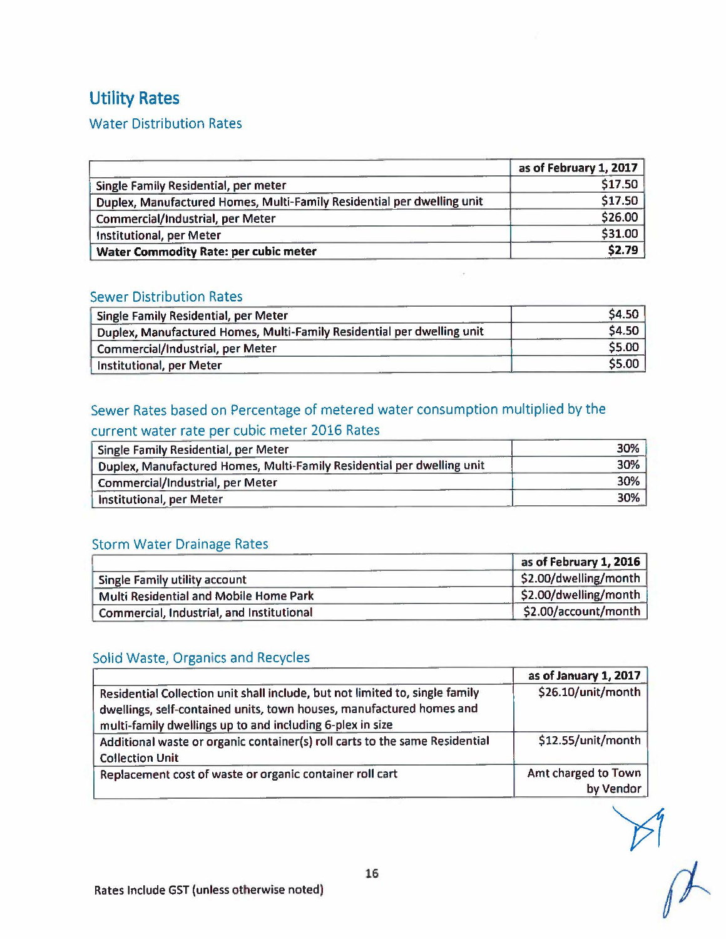# Utility Rates

## Water Distribution Rates

|                                                                        | as of February 1, 2017 |
|------------------------------------------------------------------------|------------------------|
| Single Family Residential, per meter                                   | \$17.50                |
| Duplex, Manufactured Homes, Multi-Family Residential per dwelling unit | \$17.50                |
| Commercial/Industrial, per Meter                                       | \$26.00                |
| Institutional, per Meter                                               | \$31.00                |
| <b>Water Commodity Rate: per cubic meter</b>                           | \$2.79                 |

### Sewer Distribution Rates

| Single Family Residential, per Meter                                   | \$4.50 |
|------------------------------------------------------------------------|--------|
| Duplex, Manufactured Homes, Multi-Family Residential per dwelling unit | \$4.50 |
| Commercial/Industrial, per Meter                                       | \$5.00 |
| Institutional, per Meter                                               | \$5.00 |

# Sewer Rates based on Percentage of metered water consumption multiplied by the

## current water rate per cubic meter 2016 Rates

| Single Family Residential, per Meter                                   | 30% |
|------------------------------------------------------------------------|-----|
| Duplex, Manufactured Homes, Multi-Family Residential per dwelling unit | 30% |
| Commercial/Industrial, per Meter                                       | 30% |
| Institutional, per Meter                                               | 30% |

## Storm Water Drainage Rates

|                                           | as of February 1, 2016 |
|-------------------------------------------|------------------------|
| <b>Single Family utility account</b>      | \$2.00/dwelling/month  |
| Multi Residential and Mobile Home Park    | \$2.00/dwelling/month  |
| Commercial, Industrial, and Institutional | \$2.00/account/month   |

## Solid Waste, Organics and Recycles

|                                                                                                                                                                                                                   | as of January 1, 2017            |
|-------------------------------------------------------------------------------------------------------------------------------------------------------------------------------------------------------------------|----------------------------------|
| Residential Collection unit shall include, but not limited to, single family<br>dwellings, self-contained units, town houses, manufactured homes and<br>multi-family dwellings up to and including 6-plex in size | \$26.10/unit/month               |
| Additional waste or organic container(s) roll carts to the same Residential<br><b>Collection Unit</b>                                                                                                             | \$12.55/unit/month               |
| Replacement cost of waste or organic container roll cart                                                                                                                                                          | Amt charged to Town<br>by Vendor |

 $\frac{1}{\sqrt{2}}$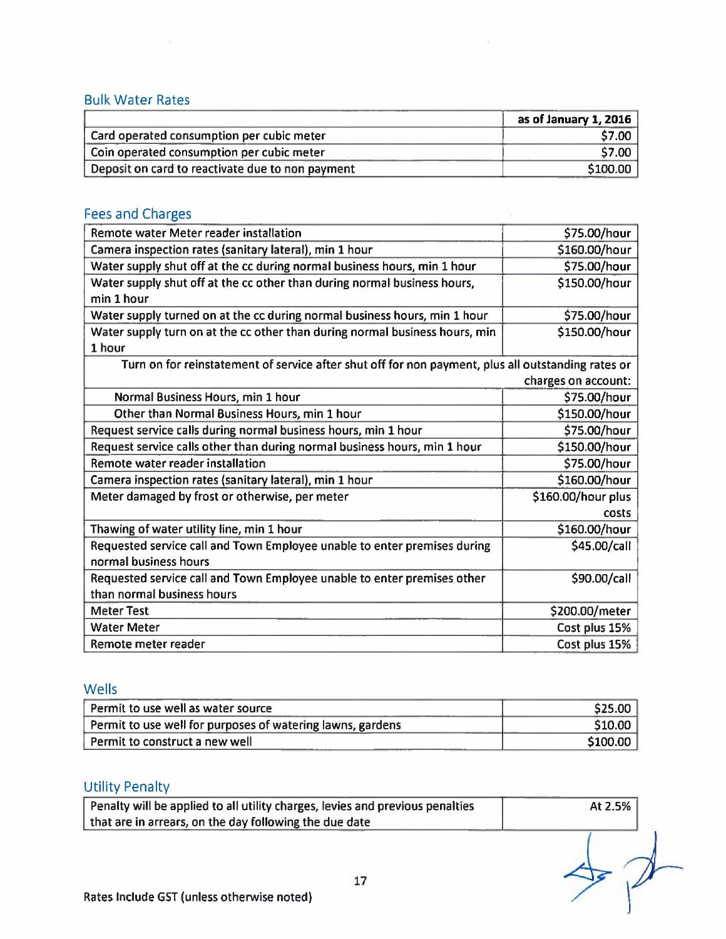## Bulk Water Rates

 $\rightarrow$ 

|                                                  | as of January 1, 2016 |
|--------------------------------------------------|-----------------------|
| Card operated consumption per cubic meter        | \$7.00                |
| Coin operated consumption per cubic meter        | \$7.00                |
| Deposit on card to reactivate due to non payment | \$100.00              |

 $\alpha$ 

## Fees and Charges

| Remote water Meter reader installation                                                             | \$75.00/hour        |
|----------------------------------------------------------------------------------------------------|---------------------|
| Camera inspection rates (sanitary lateral), min 1 hour                                             | \$160.00/hour       |
| Water supply shut off at the cc during normal business hours, min 1 hour                           | \$75.00/hour        |
| Water supply shut off at the cc other than during normal business hours,                           | \$150.00/hour       |
| min 1 hour                                                                                         |                     |
| Water supply turned on at the cc during normal business hours, min 1 hour                          | \$75.00/hour        |
| Water supply turn on at the cc other than during normal business hours, min                        | \$150.00/hour       |
| 1 hour                                                                                             |                     |
| Turn on for reinstatement of service after shut off for non payment, plus all outstanding rates or |                     |
|                                                                                                    | charges on account: |
| Normal Business Hours, min 1 hour                                                                  | \$75.00/hour        |
| Other than Normal Business Hours, min 1 hour                                                       | \$150.00/hour       |
| Request service calls during normal business hours, min 1 hour                                     | \$75.00/hour        |
| Request service calls other than during normal business hours, min 1 hour                          | \$150.00/hour       |
| Remote water reader installation                                                                   | \$75.00/hour        |
| Camera inspection rates (sanitary lateral), min 1 hour                                             | \$160.00/hour       |
| Meter damaged by frost or otherwise, per meter                                                     | \$160.00/hour plus  |
|                                                                                                    | costs               |
| Thawing of water utility line, min 1 hour                                                          | \$160.00/hour       |
| Requested service call and Town Employee unable to enter premises during                           | \$45.00/call        |
| normal business hours                                                                              |                     |
| Requested service call and Town Employee unable to enter premises other                            | \$90.00/call        |
| than normal business hours                                                                         |                     |
| <b>Meter Test</b>                                                                                  | \$200.00/meter      |
| <b>Water Meter</b>                                                                                 | Cost plus 15%       |
| Remote meter reader                                                                                | Cost plus 15%       |

## Wells

| Permit to use well as water source                         | \$25.00  |
|------------------------------------------------------------|----------|
| Permit to use well for purposes of watering lawns, gardens | \$10.00  |
| Permit to construct a new well                             | \$100.00 |

# Utility Penalty

| Penalty will be applied to all utility charges, levies and previous penalties | At 2.5% |
|-------------------------------------------------------------------------------|---------|
| that are in arrears, on the day following the due date                        |         |

 $\Rightarrow P$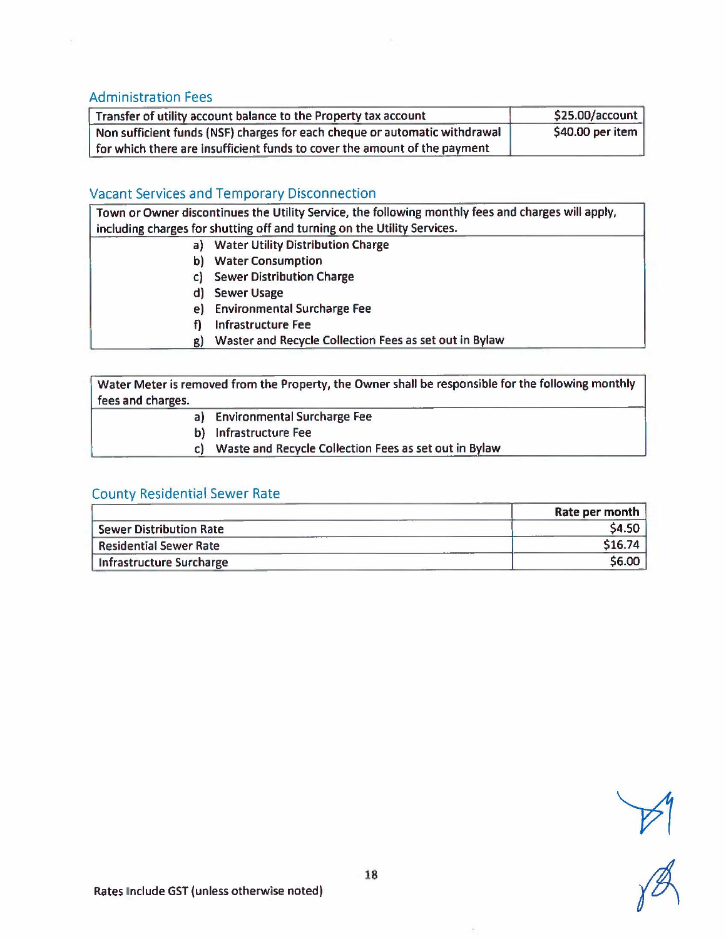Administration Fees

| Transfer of utility account balance to the Property tax account            | \$25.00/account  |
|----------------------------------------------------------------------------|------------------|
| Non sufficient funds (NSF) charges for each cheque or automatic withdrawal | \$40.00 per item |
| for which there are insufficient funds to cover the amount of the payment  |                  |

### Vacant Services and Temporary Disconnection

Town or Owner discontinues the Utility Service, the following monthly fees and charges will apply, including charges for shutting off and turning on the Utility Services.

- a) Water Utility Distribution Charge
- b} Water Consumption
- c) Sewer Distribution Charge
- d) Sewer Usage
- e) Environmental Surcharge Fee
- f) Infrastructure Fee
- g) Waster and Recycle Collection Fees as set out in Bylaw

| Water Meter is removed from the Property, the Owner shall be responsible for the following monthly |                                |  |
|----------------------------------------------------------------------------------------------------|--------------------------------|--|
| fees and charges.                                                                                  |                                |  |
|                                                                                                    | a) Environmental Surcharge Fee |  |
|                                                                                                    | b) Infrastructure Fee          |  |

c) Waste and Recycle Collection Fees as set out in Bylaw

#### County Residential Sewer Rate

|                                | Rate per month     |
|--------------------------------|--------------------|
| <b>Sewer Distribution Rate</b> | \$4.50             |
| <b>Residential Sewer Rate</b>  | S <sub>16.74</sub> |
| Infrastructure Surcharge       | \$6.00             |

 $rac{p}{\beta}$ 

Æ